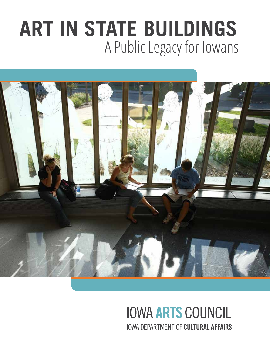# A Public Legacy for Iowans **ART IN STATE BUILDINGS**



## **IOWA ARTS COUNCIL IOWA DEPARTMENT OF CULTURAL AFFAIRS**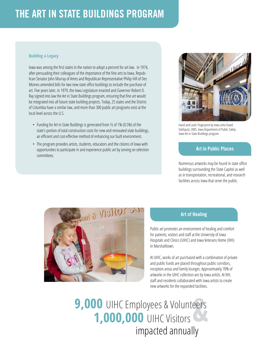### THE ART IN STATE BUILDINGS PROGRAM

#### **Building a Legacy**

Iowa was among the first states in the nation to adopt a percent for art law. In 1974, after persuading their colleagues of the importance of the fine arts to Iowa, Republican Senator John Murray of Ames and Republican Representative Philip Hill of Des Moines amended bills for two new state office buildings to include the purchase of art. Five years later, in 1979, the Iowa Legislature enacted and Governor Robert D. Ray signed into law the Art in State Buildings program, ensuring that fine art would be integrated into all future state building projects. Today, 25 states and the District of Columbia have a similar law, and more than 300 public art programs exist at the local level across the U.S.

- Funding for Art in State Buildings is generated from ½ of 1% (0.5%) of the state's portion of total construction costs for new and renovated state buildings, an efficient and cost-effective method of enhancing our built environment.
- The program provides artists, students, educators and the citizens of Iowa with opportunities to participate in and experience public art by serving on selection committees.



Hand and Land: Fingerprint by Iowa artist David Dahlquist, 2005. Iowa Department of Public Safety. Iowa Art in State Buildings program.

### Art in Public Places

Numerous artworks may be found in state office buildings surrounding the State Capitol as well as in transportation, recreational, and research facilities across Iowa that serve the public.



#### Art of Healing

Public art promotes an environment of healing and comfort for patients, visitors and staff at the University of Iowa Hospitals and Clinics (UIHC) and Iowa Veterans Home (IVH) in Marshalltown.

At UIHC, works of art purchased with a combination of private and public funds are placed throughout public corridors, reception areas and family lounges. Approximately 70% of artworks in the UIHC collection are by Iowa artists. At IVH, staff and residents collaborated with Iowa artists to create new artworks for the expanded facilities.

**9,000 UIHC Employees & Volunteers 1,000,000 UIHC Visitors** impacted annually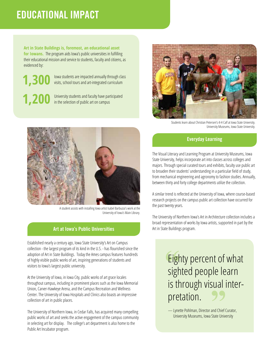### EDUCATIONAL IMPACT

**Art in State Buildings is, foremost, an educational asset for Iowans.** The program aids Iowa's public universities in fulfilling their educational mission and service to students, faculty and citizens, as evidenced by:

**1,300 1,200**

Iowa students are impacted annually through class visits, school tours and art-integrated curriculum

University students and faculty have participated in the selection of public art on campus



A student assists with installing Iowa artist Isabel Barbuzza's work at the University of Iowa's Main Library.

#### Art at Iowa's Public Universities

Established nearly a century ago, Iowa State University's Art on Campus collection - the largest program of its kind in the U.S. - has flourished since the adoption of Art in State Buildings. Today the Ames campus features hundreds of highly visible public works of art, inspiring generations of students and visitors to Iowa's largest public university.

At the University of Iowa, in Iowa City, public works of art grace locales throughout campus, including in prominent places such as the Iowa Memorial Union, Carver-Hawkeye Arena, and the Campus Recreation and Wellness Center. The University of Iowa Hospitals and Clinics also boasts an impressive collection of art in public places.

The University of Northern Iowa, in Cedar Falls, has acquired many compelling public works of art and seeks the active engagement of the campus community in selecting art for display. The college's art department is also home to the Public Art Incubator program.



Students learn about Christian Petersen's 4-H Calf at Iowa State University. University Museums, Iowa State University.

### Everyday Learning

The Visual Literacy and Learning Program at University Museums, Iowa State University, helps incorporate art into classes across colleges and majors. Through special curated tours and exhibits, faculty use public art to broaden their students' understanding in a particular field of study, from mechanical engineering and agronomy to fashion studies. Annually, between thirty and forty college departments utilize the collection.

A similar trend is reflected at the University of Iowa, where course-based research projects on the campus public art collection have occurred for the past twenty years.

The University of Northern Iowa's Art in Architecture collection includes a broad representation of works by Iowa artists, supported in part by the Art in State Buildings program.

> Eighty percent of what sighted people learn is through visual interpretation.

— Lynette Pohlman, Director and Chief Curator, University Museums, Iowa State University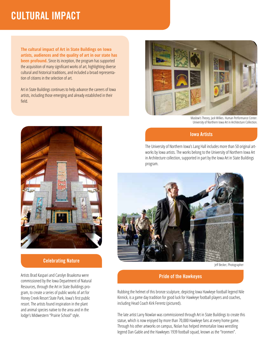### CULTURAL IMPACT

**The cultural impact of Art in State Buildings on Iowa artists, audiences and the quality of art in our state has been profound.** Since its inception, the program has supported the acquisition of many significant works of art, highlighting diverse cultural and historical traditions, and included a broad representation of citizens in the selection of art.

Art in State Buildings continues to help advance the careers of Iowa artists, including those emerging and already established in their field.



### Celebrating Nature

Artists Brad Kaspari and Carolyn Braaksma were commissioned by the Iowa Department of Natural Resources, through the Art in State Buildings program, to create a series of public works of art for Honey Creek Resort State Park, Iowa's first public resort. The artists found inspiration in the plant and animal species native to the area and in the lodge's Midwestern "Prairie School" style.



Maslow's Theory, Jack Wilkes. Human Performance Center. University of Northern Iowa Art in Architecture Collection.

### Iowa Artists

The University of Northern Iowa's Lang Hall includes more than 50 original artworks by Iowa artists. The works belong to the University of Northern Iowa Art in Architecture collection, supported in part by the Iowa Art in State Buildings program.



Jeff Becker, Photographer

### Pride of the Hawkeyes

Rubbing the helmet of this bronze sculpture, depicting Iowa Hawkeye football legend Nile Kinnick, is a game day tradition for good luck for Hawkeye football players and coaches, including Head Coach Kirk Ferentz (pictured).

The late artist Larry Nowlan was commissioned through Art in State Buildings to create this statue, which is now enjoyed by more than 70,000 Hawkeye fans at every home game. Through his other artworks on campus, Nolan has helped immortalize Iowa wrestling legend Dan Gable and the Hawkeyes 1939 football squad, known as the "Ironmen".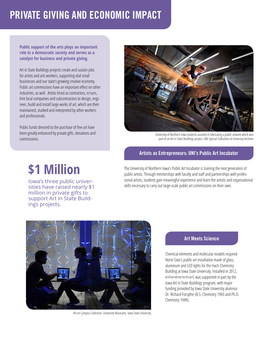### PRIVATE GIVING AND ECONOMIC IMPACT

**Public support of the arts plays an important role in a democratic society and serves as a catalyst for business and private giving.** 

Art in State Buildings projects create and sustain jobs for artists and arts workers, supporting vital small businesses and our state's growing creative economy. Public art commissions have an important effect on other industries, as well. Artists hired as contractors, in turn, hire local companies and subcontractors to design, engineer, build and install large works of art, which are then maintained, studied and interpreted by other workers and professionals.

Public funds directed to the purchase of fine art have been greatly enhanced by private gifts, donations and commissions.



University of Northern Iowa students assisted in fabricating a public artwork which was part of an Art in State Buildings project. UNI Special Collections & University Archives

### Artists as Entrepreneurs: UNI's Public Art Incubator

# **\$1 Million**

Iowa's three public universities have raised nearly \$1 million in private gifts to support Art in State Buildings projects.

The University of Northern Iowa's Public Art Incubator is training the next generation of public artists. Through mentorships with faculty and staff and partnerships with professional artists, students gain meaningful experience and learn the artistic and organizational skills necessary to carry out large-scale public art commissions on their own.



Art on Campus Collection, University Museums, Iowa State University

### Art Meets Science

Chemical elements and molecular models inspired Norie Sato's public art installation made of glass, aluminum and LED lights for the Hach Chemistry Building at Iowa State University. Installed in 2012, e+l+e+m+e+n+t+a+l, was supported in part by the Iowa Art in State Buildings program, with major funding provided by Iowa State University alumnus Dr. Richard Forsythe (B.S. Chemistry 1943 and Ph.D. Chemistry 1949).